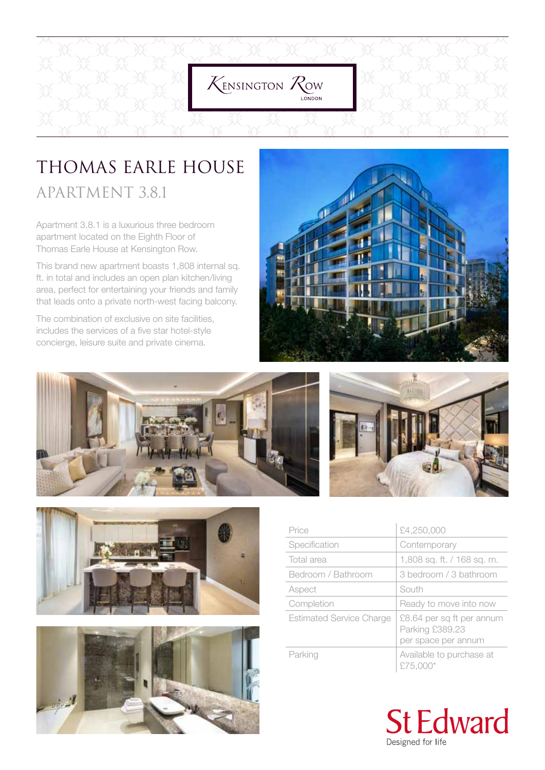

## THOMAS EARLE HOUSE APARTMENT 3.8.1

Apartment 3.8.1 is a luxurious three bedroom apartment located on the Eighth Floor of Thomas Earle House at Kensington Row.

This brand new apartment boasts 1,808 internal sq. ft. in total and includes an open plan kitchen/living area, perfect for entertaining your friends and family that leads onto a private north-west facing balcony.

The combination of exclusive on site facilities, includes the services of a five star hotel-style concierge, leisure suite and private cinema.











| Price                           | £4,250,000                                                          |
|---------------------------------|---------------------------------------------------------------------|
| Specification                   | Contemporary                                                        |
| Total area                      | 1,808 sq. ft. / 168 sq. m.                                          |
| Bedroom / Bathroom              | 3 bedroom / 3 bathroom                                              |
| Aspect                          | South                                                               |
| Completion                      | Ready to move into now                                              |
| <b>Estimated Service Charge</b> | £8.64 per sq ft per annum<br>Parking £389.23<br>per space per annum |
| Parking                         | Available to purchase at<br>£75,000*                                |

**St Edward** Designed for life